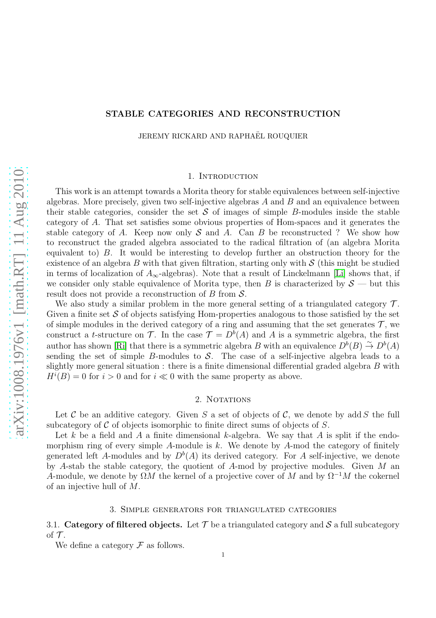# STABLE CATEGORIES AND RECONSTRUCTION

JEREMY RICKARD AND RAPHAËL ROUQUIER

## 1. INTRODUCTION

This work is an attempt towards a Morita theory for stable equivalences between self-injective algebras. More precisely, given two self-injective algebras  $A$  and  $B$  and an equivalence between their stable categories, consider the set  $\mathcal S$  of images of simple B-modules inside the stable category of A. That set satisfies some obvious properties of Hom-spaces and it generates the stable category of A. Keep now only S and A. Can B be reconstructed ? We show how to reconstruct the graded algebra associated to the radical filtration of (an algebra Morita equivalent to) B. It would be interesting to develop further an obstruction theory for the existence of an algebra  $B$  with that given filtration, starting only with  $S$  (this might be studied in terms of localization of  $A_{\infty}$ -algebras). Note that a result of Linckelmann [\[Li\]](#page-15-0) shows that, if we consider only stable equivalence of Morita type, then B is characterized by  $S$  — but this result does not provide a reconstruction of  $B$  from  $\mathcal{S}$ .

We also study a similar problem in the more general setting of a triangulated category  $\mathcal{T}$ . Given a finite set  $S$  of objects satisfying Hom-properties analogous to those satisfied by the set of simple modules in the derived category of a ring and assuming that the set generates  $\mathcal{T}$ , we construct a *t*-structure on T. In the case  $\mathcal{T} = D^b(A)$  and A is a symmetric algebra, the first author has shown [\[Ri\]](#page-15-1) that there is a symmetric algebra B with an equivalence  $D^{b}(B) \stackrel{\sim}{\to} D^{b}(A)$ sending the set of simple B-modules to  $\mathcal S$ . The case of a self-injective algebra leads to a slightly more general situation : there is a finite dimensional differential graded algebra  $B$  with  $H^{i}(B) = 0$  for  $i > 0$  and for  $i \ll 0$  with the same property as above.

# 2. NOTATIONS

Let C be an additive category. Given S a set of objects of C, we denote by add S the full subcategory of  $\mathcal C$  of objects isomorphic to finite direct sums of objects of  $S$ .

Let k be a field and A a finite dimensional k-algebra. We say that A is split if the endomorphism ring of every simple A-module is k. We denote by A-mod the category of finitely generated left A-modules and by  $D^b(A)$  its derived category. For A self-injective, we denote by A-stab the stable category, the quotient of A-mod by projective modules. Given M an A-module, we denote by  $\Omega M$  the kernel of a projective cover of M and by  $\Omega^{-1}M$  the cokernel of an injective hull of M.

# 3. Simple generators for triangulated categories

<span id="page-0-0"></span>3.1. Category of filtered objects. Let  $\mathcal T$  be a triangulated category and  $\mathcal S$  a full subcategory of  $\tau$ .

We define a category  $\mathcal F$  as follows.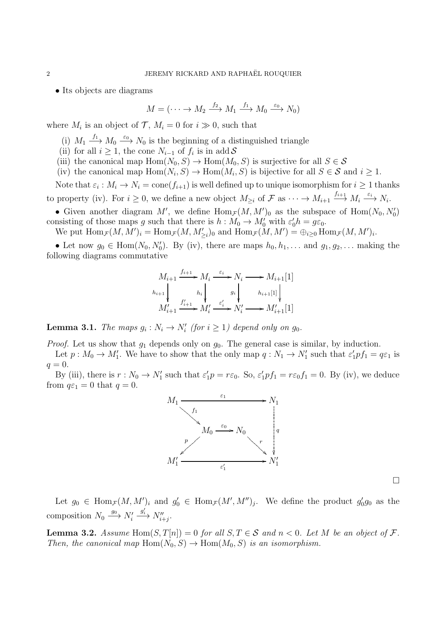• Its objects are diagrams

$$
M = (\cdots \to M_2 \xrightarrow{f_2} M_1 \xrightarrow{f_1} M_0 \xrightarrow{\varepsilon_0} N_0)
$$

where  $M_i$  is an object of  $\mathcal{T}, M_i = 0$  for  $i \gg 0$ , such that

- (i)  $M_1 \xrightarrow{f_1} M_0 \xrightarrow{\varepsilon_0} N_0$  is the beginning of a distinguished triangle
- (ii) for all  $i \geq 1$ , the cone  $N_{i-1}$  of  $f_i$  is in add S
- (iii) the canonical map Hom $(N_0, S) \to \text{Hom}(M_0, S)$  is surjective for all  $S \in \mathcal{S}$
- (iv) the canonical map  $\text{Hom}(N_i, S) \to \text{Hom}(M_i, S)$  is bijective for all  $S \in S$  and  $i \geq 1$ .

Note that  $\varepsilon_i: M_i \to N_i = \mathrm{cone}(f_{i+1})$  is well defined up to unique isomorphism for  $i \geq 1$  thanks to property (iv). For  $i \geq 0$ , we define a new object  $M_{\geq i}$  of  $\mathcal F$  as  $\cdots \to M_{i+1} \xrightarrow{f_{i+1}} M_i \xrightarrow{\varepsilon_i} N_i$ .

• Given another diagram M', we define  $\text{Hom}_{\mathcal{F}}(M, M')_0$  as the subspace of  $\text{Hom}(N_0, N'_0)$ consisting of those maps g such that there is  $h: M_0 \to M'_0$  with  $\varepsilon'_0 h = g \varepsilon_0$ .

We put  $\text{Hom}_{\mathcal{F}}(M, M')_i = \text{Hom}_{\mathcal{F}}(M, M'_{\geq i})_0$  and  $\text{Hom}_{\mathcal{F}}(M, M') = \bigoplus_{i \geq 0} \text{Hom}_{\mathcal{F}}(M, M')_i$ .

• Let now  $g_0 \in \text{Hom}(N_0, N'_0)$ . By (iv), there are maps  $h_0, h_1, \ldots$  and  $g_1, g_2, \ldots$  making the following diagrams commutative

$$
M_{i+1} \xrightarrow{f_{i+1}} M_i \xrightarrow{\varepsilon_i} N_i \longrightarrow M_{i+1}[1]
$$
  
\n
$$
h_{i+1} \downarrow \qquad h_i \downarrow \qquad g_i \downarrow \qquad h_{i+1}[1] \downarrow \qquad M'_{i+1} \xrightarrow{f'_{i+1}} M'_i \xrightarrow{\varepsilon'_i} N'_i \longrightarrow M'_{i+1}[1]
$$

**Lemma 3.1.** The maps  $g_i : N_i \to N'_i$  (for  $i \geq 1$ ) depend only on  $g_0$ .

*Proof.* Let us show that  $g_1$  depends only on  $g_0$ . The general case is similar, by induction.

Let  $p: M_0 \to M'_1$ . We have to show that the only map  $q: N_1 \to N'_1$  such that  $\varepsilon'_1 p f_1 = q \varepsilon_1$  is  $q=0.$ 

By (iii), there is  $r: N_0 \to N'_1$  such that  $\varepsilon'_1 p = r \varepsilon_0$ . So,  $\varepsilon'_1 p f_1 = r \varepsilon_0 f_1 = 0$ . By (iv), we deduce from  $q\varepsilon_1 = 0$  that  $q = 0$ .



Let  $g_0 \in \text{Hom}_{\mathcal{F}}(M, M')_i$  and  $g'_0 \in \text{Hom}_{\mathcal{F}}(M', M'')_j$ . We define the product  $g'_0 g_0$  as the composition  $N_0 \stackrel{g_0}{\longrightarrow} N'_i$  $\stackrel{g_i'}{\longrightarrow} N''_{i+j}.$ 

**Lemma 3.2.** Assume Hom $(S, T[n]) = 0$  for all  $S, T \in S$  and  $n < 0$ . Let M be an object of F. Then, the canonical map Hom $(N_0, S) \to \text{Hom}(M_0, S)$  is an isomorphism.

 $\Box$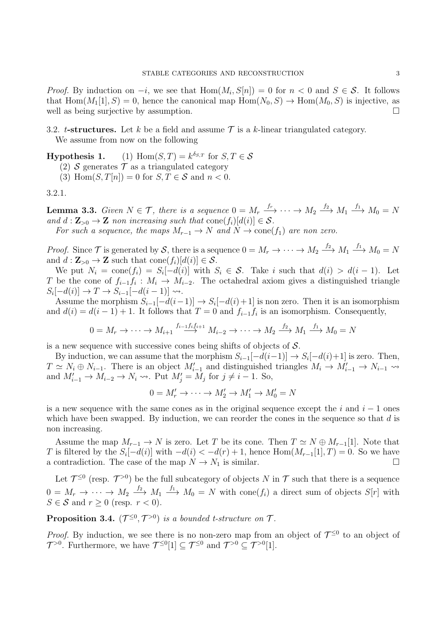*Proof.* By induction on  $-i$ , we see that  $Hom(M_i, S[n]) = 0$  for  $n < 0$  and  $S \in \mathcal{S}$ . It follows that Hom $(M_1[1], S) = 0$ , hence the canonical map  $Hom(N_0, S) \to Hom(M_0, S)$  is injective, as well as being surjective by assumption.

3.2. t-structures. Let k be a field and assume  $\mathcal T$  is a k-linear triangulated category. We assume from now on the following

**Hypothesis 1.** (1) Hom $(S, T) = k^{\delta_{S,T}}$  for  $S, T \in \mathcal{S}$ 

(2) S generates  $\mathcal T$  as a triangulated category

(3) Hom $(S, T[n]) = 0$  for  $S, T \in \mathcal{S}$  and  $n < 0$ .

<span id="page-2-1"></span>3.2.1.

<span id="page-2-0"></span>**Lemma 3.3.** Given  $N \in \mathcal{T}$ , there is a sequence  $0 = M_r \xrightarrow{f_r} \cdots \rightarrow M_2 \xrightarrow{f_2} M_1 \xrightarrow{f_1} M_0 = N$ and  $d: \mathbf{Z}_{>0} \to \mathbf{Z}$  non increasing such that  $cone(f_i)[d(i)] \in \mathcal{S}$ .

For such a sequence, the maps  $M_{r-1} \to N$  and  $N \to \text{cone}(f_1)$  are non zero.

*Proof.* Since  $\mathcal T$  is generated by  $\mathcal S$ , there is a sequence  $0 = M_r \to \cdots \to M_2 \xrightarrow{f_2} M_1 \xrightarrow{f_1} M_0 = N$ and  $d: \mathbf{Z}_{>0} \to \mathbf{Z}$  such that cone $(f_i)[d(i)] \in \mathcal{S}$ .

We put  $N_i = \text{cone}(f_i) = S_i[-d(i)]$  with  $S_i \in \mathcal{S}$ . Take i such that  $d(i) > d(i-1)$ . Let T be the cone of  $f_{i-1}f_i: M_i \to M_{i-2}$ . The octahedral axiom gives a distinguished triangle  $S_i[-d(i)] \to T \to S_{i-1}[-d(i-1)] \to$ .

Assume the morphism  $S_{i-1}[-d(i-1)] \rightarrow S_i[-d(i)+1]$  is non zero. Then it is an isomorphism and  $d(i) = d(i-1) + 1$ . It follows that  $T = 0$  and  $f_{i-1}f_i$  is an isomorphism. Consequently,

$$
0 = M_r \to \cdots \to M_{i+1} \xrightarrow{f_{i-1}f_i f_{i+1}} M_{i-2} \to \cdots \to M_2 \xrightarrow{f_2} M_1 \xrightarrow{f_1} M_0 = N
$$

is a new sequence with successive cones being shifts of objects of  $S$ .

By induction, we can assume that the morphism  $S_{i-1}[-d(i-1)] \rightarrow S_i[-d(i)+1]$  is zero. Then,  $T \simeq N_i \oplus N_{i-1}$ . There is an object  $M'_{i-1}$  and distinguished triangles  $M_i \to M'_{i-1} \to N_{i-1} \to$ and  $M'_{i-1} \to M_{i-2} \to N_i \to$ . Put  $M'_j = M_j$  for  $j \neq i-1$ . So,

$$
0 = M'_r \to \cdots \to M'_2 \to M'_1 \to M'_0 = N
$$

is a new sequence with the same cones as in the original sequence except the i and  $i - 1$  ones which have been swapped. By induction, we can reorder the cones in the sequence so that  $d$  is non increasing.

Assume the map  $M_{r-1} \to N$  is zero. Let T be its cone. Then  $T \simeq N \oplus M_{r-1}[1]$ . Note that T is filtered by the  $S_i[-d(i)]$  with  $-d(i) < -d(r) + 1$ , hence  $Hom(M_{r-1}[1], T) = 0$ . So we have a contradiction. The case of the map  $N \to N_1$  is similar.

Let  $\mathcal{T}^{\leq 0}$  (resp.  $\mathcal{T}^{>0}$ ) be the full subcategory of objects N in T such that there is a sequence  $0 = M_r \to \cdots \to M_2 \stackrel{f_2}{\longrightarrow} M_1 \stackrel{f_1}{\longrightarrow} M_0 = N$  with cone $(f_i)$  a direct sum of objects  $S[r]$  with  $S \in \mathcal{S}$  and  $r \geq 0$  (resp.  $r < 0$ ).

**Proposition 3.4.**  $(\mathcal{T}^{\leq 0}, \mathcal{T}^{> 0})$  is a bounded t-structure on  $\mathcal{T}$ .

*Proof.* By induction, we see there is no non-zero map from an object of  $\mathcal{T}^{\leq 0}$  to an object of  $\mathcal{T}^{>0}$ . Furthermore, we have  $\mathcal{T}^{\leq 0}[1] \subseteq \mathcal{T}^{\leq 0}$  and  $\mathcal{T}^{>0} \subseteq \mathcal{T}^{>0}[1]$ .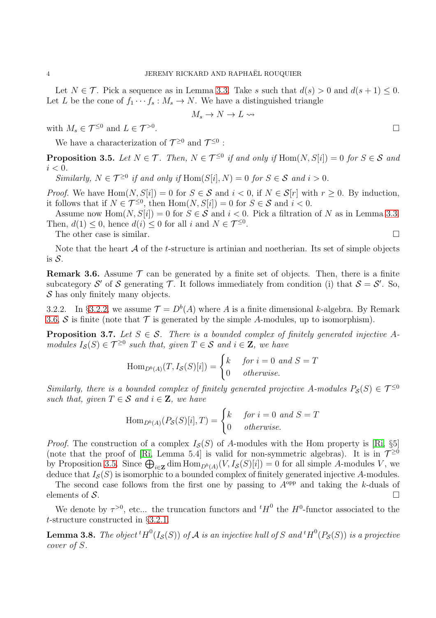Let  $N \in \mathcal{T}$ . Pick a sequence as in Lemma [3.3.](#page-2-0) Take s such that  $d(s) > 0$  and  $d(s + 1) \leq 0$ . Let L be the cone of  $f_1 \cdots f_s : M_s \to N$ . We have a distinguished triangle

$$
M_s\to N\to L\leadsto
$$

with  $M_s \in \mathcal{T}^{\leq 0}$  and  $L \in \mathcal{T}^{>0}$ .

We have a characterization of  $\mathcal{T}^{\geq 0}$  and  $\mathcal{T}^{\leq 0}$ :

<span id="page-3-2"></span>**Proposition 3.5.** Let  $N \in \mathcal{T}$ . Then,  $N \in \mathcal{T}^{\leq 0}$  if and only if  $\text{Hom}(N, S[i]) = 0$  for  $S \in \mathcal{S}$  and  $i < 0$ .

Similarly,  $N \in \mathcal{T}^{\geq 0}$  if and only if  $\text{Hom}(S[i], N) = 0$  for  $S \in \mathcal{S}$  and  $i > 0$ .

*Proof.* We have  $Hom(N, S[i]) = 0$  for  $S \in \mathcal{S}$  and  $i < 0$ , if  $N \in \mathcal{S}[r]$  with  $r \geq 0$ . By induction, it follows that if  $N \in \mathcal{T}^{\leq 0}$ , then  $\text{Hom}(N, S[i]) = 0$  for  $S \in \mathcal{S}$  and  $i < 0$ .

Assume now Hom $(N, S[i]) = 0$  for  $S \in \mathcal{S}$  and  $i < 0$ . Pick a filtration of N as in Lemma [3.3.](#page-2-0) Then,  $d(1) \leq 0$ , hence  $d(i) \leq 0$  for all i and  $N \in \mathcal{T}^{\leq 0}$ .

The other case is similar.

Note that the heart  $A$  of the t-structure is artinian and noetherian. Its set of simple objects is  $S$ .

<span id="page-3-1"></span>**Remark 3.6.** Assume  $\mathcal{T}$  can be generated by a finite set of objects. Then, there is a finite subcategory S' of S generating T. It follows immediately from condition (i) that  $S = S'$ . So,  $\mathcal S$  has only finitely many objects.

<span id="page-3-0"></span>3.2.2. In §[3.2.2,](#page-3-0) we assume  $\mathcal{T} = D^b(A)$  where A is a finite dimensional k-algebra. By Remark [3.6,](#page-3-1) S is finite (note that  $\mathcal T$  is generated by the simple A-modules, up to isomorphism).

<span id="page-3-3"></span>**Proposition 3.7.** Let  $S \in \mathcal{S}$ . There is a bounded complex of finitely generated injective Amodules  $I_{\mathcal{S}}(S) \in \mathcal{T}^{\geq 0}$  such that, given  $T \in \mathcal{S}$  and  $i \in \mathbf{Z}$ , we have

Hom<sub>D<sup>b</sup>(A)</sub>
$$
(T, I_{\mathcal{S}}(S)[i]) = \begin{cases} k & \text{for } i = 0 \text{ and } S = T \\ 0 & \text{otherwise.} \end{cases}
$$

Similarly, there is a bounded complex of finitely generated projective A-modules  $P_S(S) \in \mathcal{T}^{\leq 0}$ such that, given  $T \in \mathcal{S}$  and  $i \in \mathbf{Z}$ , we have

Hom<sub>D<sup>b</sup>(A)</sub>
$$
(P_S(S)[i], T) = \begin{cases} k & \text{for } i = 0 \text{ and } S = T \\ 0 & \text{otherwise.} \end{cases}
$$

*Proof.* The construction of a complex  $I_{\mathcal{S}}(S)$  of A-modules with the Hom property is [\[Ri,](#page-15-1) §5] (note that the proof of [\[Ri,](#page-15-1) Lemma 5.4] is valid for non-symmetric algebras). It is in  $\mathcal{T}^{\geq 0}$ by Proposition [3.5.](#page-3-2) Since  $\bigoplus_{i\in\mathbf{Z}}\dim\text{Hom}_{D^b(A)}(V,I_{\mathcal{S}}(S)[i])=0$  for all simple A-modules V, we deduce that  $I_{\mathcal{S}}(S)$  is isomorphic to a bounded complex of finitely generated injective A-modules.

The second case follows from the first one by passing to  $A^{opp}$  and taking the k-duals of elements of S.

We denote by  $\tau^{>0}$ , etc... the truncation functors and  ${}^{t}H^{0}$  the  $H^{0}$ -functor associated to the t-structure constructed in §[3.2.1.](#page-2-1)

<span id="page-3-4"></span>**Lemma 3.8.** The object  ${}^tH^0(I_\mathcal{S}(S))$  of  $\mathcal A$  is an injective hull of  $S$  and  ${}^tH^0(P_\mathcal{S}(S))$  is a projective cover of S.

. В последните последните последните последните последните последните последните последните последните последн<br>В 1990 година от селото на селото на селото на селото на селото на селото на селото на селото на селото на сел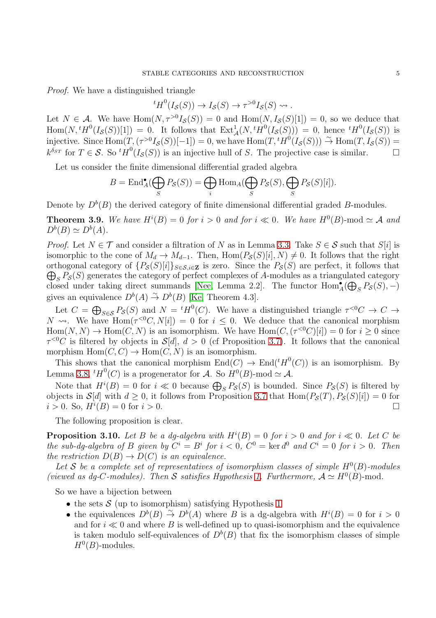Proof. We have a distinguished triangle

 ${}^tH^0(I_{\mathcal{S}}(S)) \to I_{\mathcal{S}}(S) \to \tau^{>0}I_{\mathcal{S}}(S) \rightsquigarrow$ .

Let  $N \in \mathcal{A}$ . We have  $\text{Hom}(N, \tau^{>0}I_{\mathcal{S}}(S)) = 0$  and  $\text{Hom}(N, I_{\mathcal{S}}(S)[1]) = 0$ , so we deduce that  $\text{Hom}(N, {}^tH^0(I_{\mathcal{S}}(S))[1]) = 0.$  It follows that  $\text{Ext}^1_{\mathcal{A}}(N, {}^tH^0(I_{\mathcal{S}}(S))) = 0$ , hence  ${}^tH^0(I_{\mathcal{S}}(S))$  is injective. Since  $\text{Hom}(T, (\tau^{>0}I_{\mathcal{S}}(S))[-1]) = 0$ , we have  $\text{Hom}(T, {}^tH^0(I_{\mathcal{S}}(S))) \stackrel{\sim}{\rightarrow} \text{Hom}(T, I_{\mathcal{S}}(S)) =$  $k^{\delta_{ST}}$  for  $T \in \mathcal{S}$ . So  ${}^t H^0(I_{\mathcal{S}}(S))$  is an injective hull of S. The projective case is similar.

Let us consider the finite dimensional differential graded algebra

$$
B = \operatorname{End}_{A}^{\bullet}(\bigoplus_{S} P_{\mathcal{S}}(S)) = \bigoplus_{i} \operatorname{Hom}_{A}(\bigoplus_{S} P_{\mathcal{S}}(S), \bigoplus_{S} P_{\mathcal{S}}(S)[i]).
$$

Denote by  $D^b(B)$  the derived category of finite dimensional differential graded B-modules.

**Theorem 3.9.** We have  $H^{i}(B) = 0$  for  $i > 0$  and for  $i \ll 0$ . We have  $H^{0}(B)$ -mod  $\simeq A$  and  $D^b(B) \simeq D^b(A).$ 

*Proof.* Let  $N \in \mathcal{T}$  and consider a filtration of N as in Lemma [3.3.](#page-2-0) Take  $S \in \mathcal{S}$  such that  $S[i]$  is isomorphic to the cone of  $M_d \to M_{d-1}$ . Then, Hom $(P_{\mathcal{S}}(S)[i], N) \neq 0$ . It follows that the right orthogonal category of  $\{P_{\mathcal{S}}(S)[i]\}_{S \in \mathcal{S}, i \in \mathbb{Z}}$  is zero. Since the  $P_{\mathcal{S}}(S)$  are perfect, it follows that  $\bigoplus_{S} P_{\mathcal{S}}(S)$  generates the category of perfect complexes of A-modules as a triangulated category closed under taking direct summands [\[Nee,](#page-15-2) Lemma 2.2]. The functor  $\text{Hom}_{A}^{\bullet}(\bigoplus_{S}P_{S}(S),-)$ gives an equivalence  $D^b(A) \stackrel{\sim}{\to} D^b(B)$  [\[Ke,](#page-15-3) Theorem 4.3].

Let  $C = \bigoplus_{S \in \mathcal{S}} P_{\mathcal{S}}(S)$  and  $N = {}^{t}H^{0}(C)$ . We have a distinguished triangle  $\tau^{<0}C \to C \to C$  $N \rightsquigarrow$ . We have  $\text{Hom}(\tau^{<0}C, N[i]) = 0$  for  $i \leq 0$ . We deduce that the canonical morphism  $Hom(N, N) \to Hom(C, N)$  is an isomorphism. We have  $Hom(C, (\tau^{\leq 0}C)[i]) = 0$  for  $i \geq 0$  since  $\tau^{<0}C$  is filtered by objects in  $\mathcal{S}[d], d > 0$  (cf Proposition [3.7\)](#page-3-3). It follows that the canonical morphism  $Hom(C, C) \to Hom(C, N)$  is an isomorphism.

This shows that the canonical morphism  $End(C) \to End({}^tH^0(C))$  is an isomorphism. By Lemma [3.8,](#page-3-4)  ${}^tH^0(C)$  is a progenerator for A. So  $H^0(B)$ -mod  $\simeq \mathcal{A}$ .

Note that  $H^i(B) = 0$  for  $i \ll 0$  because  $\bigoplus_S P_{\mathcal{S}}(S)$  is bounded. Since  $P_{\mathcal{S}}(S)$  is filtered by objects in  $\mathcal{S}[d]$  with  $d \geq 0$ , it follows from Proposition [3.7](#page-3-3) that  $\text{Hom}(P_{\mathcal{S}}(T), P_{\mathcal{S}}(S)[i]) = 0$  for  $i > 0$ . So,  $H^{i}(B) = 0$  for  $i > 0$ .

The following proposition is clear.

**Proposition 3.10.** Let B be a dg-algebra with  $H^{i}(B) = 0$  for  $i > 0$  and for  $i \ll 0$ . Let C be the sub-dg-algebra of B given by  $C^i = B^i$  for  $i < 0$ ,  $C^0 = \text{ker } d^0$  and  $C^i = 0$  for  $i > 0$ . Then the restriction  $D(B) \to D(C)$  is an equivalence.

Let S be a complete set of representatives of isomorphism classes of simple  $H^0(B)$ -modules (viewed as dg-C-modules). Then S satisfies Hypothesis 1. Furthermore,  $A \simeq H^0(B)$ -mod.

So we have a bijection between

- the sets  $S$  (up to isomorphism) satisfying Hypothesis 1
- the equivalences  $D^{b}(B) \stackrel{\sim}{\to} D^{b}(A)$  where B is a dg-algebra with  $H^{i}(B) = 0$  for  $i > 0$ and for  $i \ll 0$  and where B is well-defined up to quasi-isomorphism and the equivalence is taken modulo self-equivalences of  $D^b(B)$  that fix the isomorphism classes of simple  $H^0(B)$ -modules.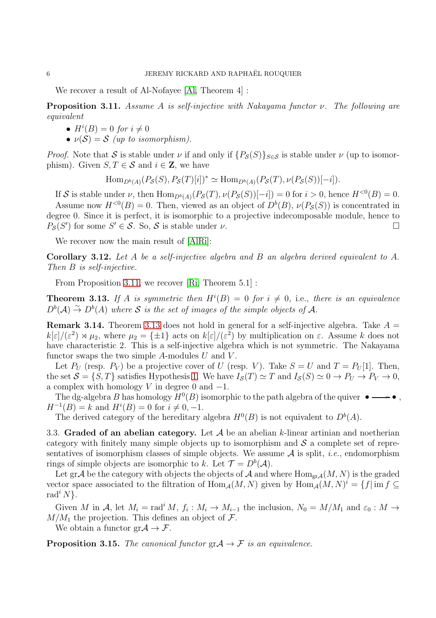We recover a result of Al-Nofayee [\[Al,](#page-15-4) Theorem 4] :

<span id="page-5-0"></span>**Proposition 3.11.** Assume A is self-injective with Nakayama functor  $\nu$ . The following are equivalent

- $H^i(B) = 0$  for  $i \neq 0$
- $\nu(\mathcal{S}) = \mathcal{S}$  (up to isomorphism).

*Proof.* Note that S is stable under  $\nu$  if and only if  $\{P_{\mathcal{S}}(S)\}_{S\in\mathcal{S}}$  is stable under  $\nu$  (up to isomorphism). Given  $S, T \in \mathcal{S}$  and  $i \in \mathbb{Z}$ , we have

$$
\text{Hom}_{D^b(A)}(P_{\mathcal{S}}(S), P_{\mathcal{S}}(T)[i])^* \simeq \text{Hom}_{D^b(A)}(P_{\mathcal{S}}(T), \nu(P_{\mathcal{S}}(S))[-i]).
$$

If S is stable under  $\nu$ , then  $\text{Hom}_{D^b(A)}(P_{\mathcal{S}}(T), \nu(P_{\mathcal{S}}(S))[-i]) = 0$  for  $i > 0$ , hence  $H^{<0}(B) = 0$ . Assume now  $H^{<0}(B) = 0$ . Then, viewed as an object of  $D^b(B)$ ,  $\nu(P_{\mathcal{S}}(S))$  is concentrated in degree 0. Since it is perfect, it is isomorphic to a projective indecomposable module, hence to  $P_{\mathcal{S}}(S')$  for some  $S' \in \mathcal{S}$ . So,  $\mathcal{S}$  is stable under  $\nu$ .

We recover now the main result of [\[AlRi\]](#page-15-5):

Corollary 3.12. Let A be a self-injective algebra and B an algebra derived equivalent to A. Then B is self-injective.

From Proposition [3.11,](#page-5-0) we recover [\[Ri,](#page-15-1) Theorem 5.1] :

<span id="page-5-1"></span>**Theorem 3.13.** If A is symmetric then  $H^{i}(B) = 0$  for  $i \neq 0$ , i.e., there is an equivalence  $D^{b}(A) \stackrel{\sim}{\rightarrow} D^{b}(A)$  where S is the set of images of the simple objects of A.

**Remark 3.14.** Theorem [3.13](#page-5-1) does not hold in general for a self-injective algebra. Take  $A =$  $k[\varepsilon]/(\varepsilon^2) \rtimes \mu_2$ , where  $\mu_2 = {\pm 1}$  acts on  $k[\varepsilon]/(\varepsilon^2)$  by multiplication on  $\varepsilon$ . Assume k does not have characteristic 2. This is a self-injective algebra which is not symmetric. The Nakayama functor swaps the two simple  $A$ -modules  $U$  and  $V$ .

Let  $P_U$  (resp.  $P_V$ ) be a projective cover of U (resp. V). Take  $S = U$  and  $T = P_U[1]$ . Then, the set  $S = \{S, T\}$  satisfies Hypothesis 1. We have  $I_{S}(T) \simeq T$  and  $I_{S}(S) \simeq 0 \rightarrow P_{U} \rightarrow P_{V} \rightarrow 0$ , a complex with homology V in degree 0 and  $-1$ .

The dg-algebra B has homology  $H^0(B)$  isomorphic to the path algebra of the quiver  $\bullet \longrightarrow \bullet$ ,  $H^{-1}(B) = k$  and  $H^{i}(B) = 0$  for  $i \neq 0, -1$ .

The derived category of the hereditary algebra  $H^0(B)$  is not equivalent to  $D^b(A)$ .

3.3. Graded of an abelian category. Let  $A$  be an abelian k-linear artinian and noetherian category with finitely many simple objects up to isomorphism and  $S$  a complete set of representatives of isomorphism classes of simple objects. We assume  $A$  is split, *i.e.*, endomorphism rings of simple objects are isomorphic to k. Let  $\mathcal{T} = D^b(\mathcal{A})$ .

Let gr $\mathcal A$  be the category with objects the objects of  $\mathcal A$  and where  $\text{Hom}_{gr\mathcal A}(M,N)$  is the graded vector space associated to the filtration of  $Hom_{\mathcal{A}}(M, N)$  given by  $Hom_{\mathcal{A}}(M, N)^{i} = \{f | \text{im } f \subseteq$ rad<sup>i</sup> N }.

Given M in A, let  $M_i = \text{rad}^i M$ ,  $f_i : M_i \to M_{i-1}$  the inclusion,  $N_0 = M/M_1$  and  $\varepsilon_0 : M \to$  $M/M_1$  the projection. This defines an object of  $\mathcal{F}$ .

We obtain a functor  $\text{gr}\mathcal{A} \to \mathcal{F}$ .

**Proposition 3.15.** The canonical functor  $\text{gr} \mathcal{A} \to \mathcal{F}$  is an equivalence.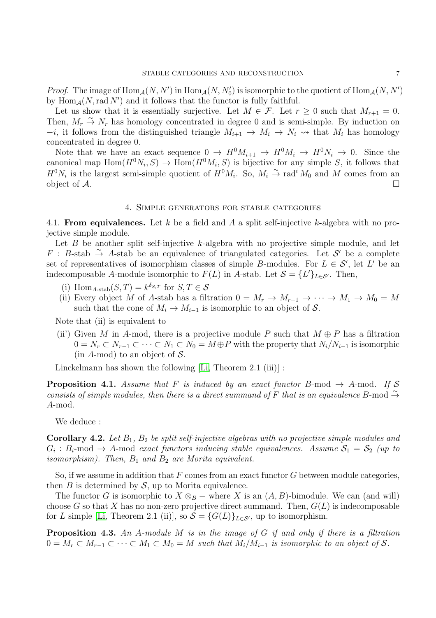*Proof.* The image of  $\text{Hom}_{\mathcal{A}}(N, N')$  in  $\text{Hom}_{\mathcal{A}}(N, N'_{0})$  is isomorphic to the quotient of  $\text{Hom}_{\mathcal{A}}(N, N')$ by  $\text{Hom}_{\mathcal{A}}(N,\text{rad } N')$  and it follows that the functor is fully faithful.

Let us show that it is essentially surjective. Let  $M \in \mathcal{F}$ . Let  $r \geq 0$  such that  $M_{r+1} = 0$ . Then,  $M_r \stackrel{\sim}{\rightarrow} N_r$  has homology concentrated in degree 0 and is semi-simple. By induction on  $-i$ , it follows from the distinguished triangle  $M_{i+1} \to M_i \to N_i \rightsquigarrow$  that  $M_i$  has homology concentrated in degree 0.

Note that we have an exact sequence  $0 \to H^0 M_{i+1} \to H^0 M_i \to H^0 N_i \to 0$ . Since the canonical map  $\text{Hom}(H^0N_i, S) \to \text{Hom}(H^0M_i, S)$  is bijective for any simple S, it follows that  $H^0N_i$  is the largest semi-simple quotient of  $H^0M_i$ . So,  $M_i \stackrel{\sim}{\to} \text{rad}^iM_0$  and M comes from an object of  $A$ .

#### 4. Simple generators for stable categories

4.1. From equivalences. Let k be a field and A a split self-injective k-algebra with no projective simple module.

Let  $B$  be another split self-injective  $k$ -algebra with no projective simple module, and let  $F$  : B-stab → A-stab be an equivalence of triangulated categories. Let S' be a complete set of representatives of isomorphism classes of simple B-modules. For  $L \in \mathcal{S}'$ , let L' be an indecomposable A-module isomorphic to  $F(L)$  in A-stab. Let  $S = \{L'\}_{L \in S'}$ . Then,

- (i) Hom<sub>A-stab</sub> $(S,T) = k^{\delta_{S,T}}$  for  $S,T \in \mathcal{S}$
- (ii) Every object M of A-stab has a filtration  $0 = M_r \to M_{r-1} \to \cdots \to M_1 \to M_0 = M$ such that the cone of  $M_i \to M_{i-1}$  is isomorphic to an object of S.

Note that (ii) is equivalent to

(ii) Given M in A-mod, there is a projective module P such that  $M \oplus P$  has a filtration  $0 = N_r \subset N_{r-1} \subset \cdots \subset N_1 \subset N_0 = M \oplus P$  with the property that  $N_i/N_{i-1}$  is isomorphic (in A-mod) to an object of  $S$ .

Linckelmann has shown the following [\[Li,](#page-15-0) Theorem 2.1 (iii)]:

**Proposition 4.1.** Assume that F is induced by an exact functor B-mod  $\rightarrow$  A-mod. If S consists of simple modules, then there is a direct summand of F that is an equivalence B-mod  $\stackrel{\sim}{\rightarrow}$ A-mod.

We deduce :

**Corollary 4.2.** Let  $B_1$ ,  $B_2$  be split self-injective algebras with no projective simple modules and  $G_i : B_i$ -mod  $\rightarrow$  A-mod exact functors inducing stable equivalences. Assume  $S_1 = S_2$  (up to isomorphism). Then,  $B_1$  and  $B_2$  are Morita equivalent.

So, if we assume in addition that  $F$  comes from an exact functor  $G$  between module categories, then  $B$  is determined by  $S$ , up to Morita equivalence.

The functor G is isomorphic to  $X \otimes_B -$  where X is an  $(A, B)$ -bimodule. We can (and will) choose G so that X has no non-zero projective direct summand. Then,  $G(L)$  is indecomposable for L simple [\[Li,](#page-15-0) Theorem 2.1 (ii)], so  $S = \{G(L)\}_{L \in S'}$ , up to isomorphism.

**Proposition 4.3.** An A-module M is in the image of G if and only if there is a filtration  $0 = M_r \subset M_{r-1} \subset \cdots \subset M_1 \subset M_0 = M$  such that  $M_i/M_{i-1}$  is isomorphic to an object of S.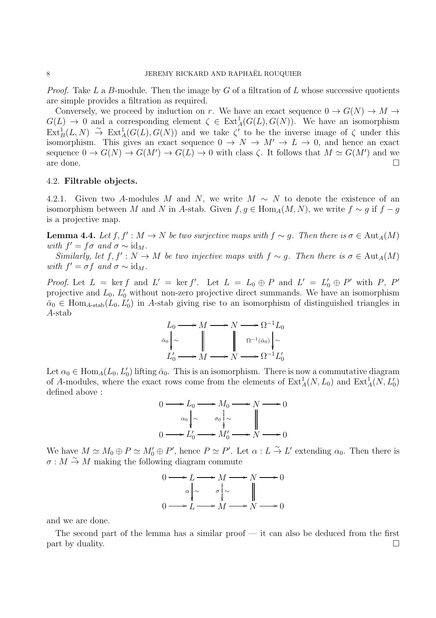*Proof.* Take L a B-module. Then the image by G of a filtration of L whose successive quotients are simple provides a filtration as required.

Conversely, we proceed by induction on r. We have an exact sequence  $0 \to G(N) \to M \to$  $G(L) \to 0$  and a corresponding element  $\zeta \in \text{Ext}_{A}^{1}(G(L), G(N))$ . We have an isomorphism  $\text{Ext}^1_B(L, N) \stackrel{\sim}{\to} \text{Ext}^1_A(G(L), G(N))$  and we take  $\zeta'$  to be the inverse image of  $\zeta$  under this isomorphism. This gives an exact sequence  $0 \to N \to M' \to L \to 0$ , and hence an exact sequence  $0 \to G(N) \to G(M') \to G(L) \to 0$  with class  $\zeta$ . It follows that  $M \simeq G(M')$  and we are done.  $\Box$ 

## 4.2. Filtrable objects.

4.2.1. Given two A-modules M and N, we write  $M \sim N$  to denote the existence of an isomorphism between M and N in A-stab. Given  $f, g \in \text{Hom}_A(M, N)$ , we write  $f \sim g$  if  $f - g$ is a projective map.

<span id="page-7-0"></span>**Lemma 4.4.** Let  $f, f' : M \to N$  be two surjective maps with  $f \sim g$ . Then there is  $\sigma \in \text{Aut}_A(M)$ with  $f' = f\sigma$  and  $\sigma \sim id_M$ .

Similarly, let  $f, f' : N \to M$  be two injective maps with  $f \sim g$ . Then there is  $\sigma \in \text{Aut}_A(M)$ with  $f' = \sigma f$  and  $\sigma \sim id_M$ .

*Proof.* Let  $L = \ker f$  and  $L' = \ker f'$ . Let  $L = L_0 \oplus P$  and  $L' = L'_0 \oplus P'$  with P, P' projective and  $L_0$ ,  $L'_0$  without non-zero projective direct summands. We have an isomorphism  $\bar{\alpha}_0 \in \text{Hom}_{A\text{-stab}}(L_0, L_0')$  in A-stab giving rise to an isomorphism of distinguished triangles in A-stab

$$
L_0 \longrightarrow M \longrightarrow N \longrightarrow \Omega^{-1} L_0
$$
  

$$
\bar{\alpha}_0 \downarrow \sim \qquad \qquad \parallel \qquad \qquad \parallel \qquad \Omega^{-1}(\bar{\alpha}_0) \downarrow \sim
$$
  

$$
L'_0 \longrightarrow M \longrightarrow N \longrightarrow \Omega^{-1} L'_0
$$

Let  $\alpha_0 \in \text{Hom}_A(L_0, L'_0)$  lifting  $\bar{\alpha}_0$ . This is an isomorphism. There is now a commutative diagram of A-modules, where the exact rows come from the elements of  $\text{Ext}^1_A(N, L_0)$  and  $\text{Ext}^1_A(N, L'_0)$ defined above :

$$
0 \longrightarrow L_0 \longrightarrow M_0 \longrightarrow N \longrightarrow 0
$$
  
\n
$$
\begin{array}{c}\n\alpha_0 \downarrow \sim & \sigma_0 \downarrow \sim \\
0 \longrightarrow L'_0 \longrightarrow M'_0 \longrightarrow N \longrightarrow 0\n\end{array}
$$

We have  $M \simeq M_0 \oplus P \simeq M'_0 \oplus P'$ , hence  $P \simeq P'$ . Let  $\alpha: L \stackrel{\sim}{\to} L'$  extending  $\alpha_0$ . Then there is  $\sigma : M \overset{\sim}{\rightarrow} M$  making the following diagram commute

$$
0 \longrightarrow L \longrightarrow M \longrightarrow N \longrightarrow 0
$$
  
\n
$$
\alpha \downarrow \sim \qquad \sigma \downarrow \sim \qquad \parallel
$$
  
\n
$$
0 \longrightarrow L \longrightarrow M \longrightarrow N \longrightarrow 0
$$

and we are done.

The second part of the lemma has a similar proof  $-$  it can also be deduced from the first  $\Box$  part by duality.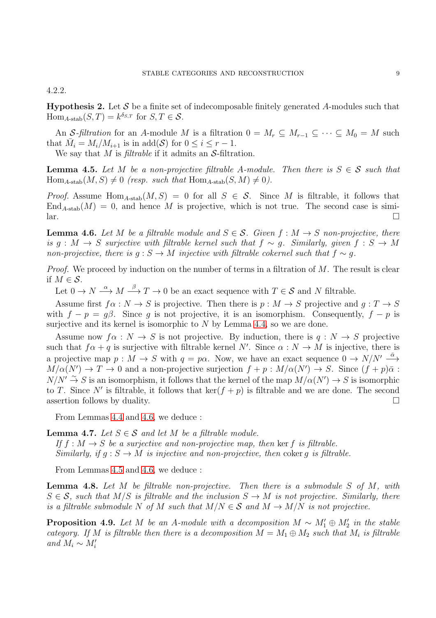4.2.2.

<span id="page-8-4"></span>**Hypothesis 2.** Let S be a finite set of indecomposable finitely generated A-modules such that  $\text{Hom}_{A\text{-stab}}(S,T) = k^{\delta_{S,T}} \text{ for } S,T \in \mathcal{S}.$ 

An S-filtration for an A-module M is a filtration  $0 = M_r \subseteq M_{r-1} \subseteq \cdots \subseteq M_0 = M$  such that  $\overline{M}_i = M_i/M_{i+1}$  is in add(S) for  $0 \leq i \leq r-1$ .

We say that M is *filtrable* if it admits an  $S$ -filtration.

<span id="page-8-1"></span>**Lemma 4.5.** Let M be a non-projective filtrable A-module. Then there is  $S \in \mathcal{S}$  such that  $\text{Hom}_{A\text{-stab}}(M, S) \neq 0$  (resp. such that  $\text{Hom}_{A\text{-stab}}(S, M) \neq 0$ ).

*Proof.* Assume Hom<sub>A-stab</sub> $(M, S) = 0$  for all  $S \in S$ . Since M is filtrable, it follows that  $\text{End}_{A\text{-stab}}(M) = 0$ , and hence M is projective, which is not true. The second case is simi- $\Box$ 

<span id="page-8-0"></span>**Lemma 4.6.** Let M be a filtrable module and  $S \in \mathcal{S}$ . Given  $f : M \to S$  non-projective, there is g : M  $\rightarrow$  S surjective with filtrable kernel such that  $f \sim g$ . Similarly, given  $f : S \rightarrow M$ non-projective, there is  $q : S \to M$  injective with filtrable cokernel such that  $f \sim q$ .

*Proof.* We proceed by induction on the number of terms in a filtration of  $M$ . The result is clear if  $M \in \mathcal{S}$ .

Let  $0 \to N \stackrel{\alpha}{\longrightarrow} M \stackrel{\beta}{\longrightarrow} T \to 0$  be an exact sequence with  $T \in \mathcal{S}$  and N filtrable.

Assume first  $f \alpha : N \to S$  is projective. Then there is  $p : M \to S$  projective and  $q : T \to S$ with  $f - p = q\beta$ . Since g is not projective, it is an isomorphism. Consequently,  $f - p$  is surjective and its kernel is isomorphic to  $N$  by Lemma [4.4,](#page-7-0) so we are done.

Assume now  $f\alpha : N \to S$  is not projective. By induction, there is  $q : N \to S$  projective such that  $f \alpha + q$  is surjective with filtrable kernel N'. Since  $\alpha : N \to M$  is injective, there is a projective map  $p : M \to S$  with  $q = p\alpha$ . Now, we have an exact sequence  $0 \to N/N' \stackrel{\bar{\alpha}}{\longrightarrow}$  $M/\alpha(N') \to T \to 0$  and a non-projective surjection  $f + p : M/\alpha(N') \to S$ . Since  $(f + p)\bar{\alpha}$ :  $N/N' \stackrel{\sim}{\to} S$  is an isomorphism, it follows that the kernel of the map  $M/\alpha(N') \to S$  is isomorphic to T. Since N' is filtrable, it follows that  $\ker(f+p)$  is filtrable and we are done. The second assertion follows by duality.  $\Box$ 

From Lemmas [4.4](#page-7-0) and [4.6,](#page-8-0) we deduce :

<span id="page-8-3"></span>**Lemma 4.7.** Let  $S \in \mathcal{S}$  and let M be a filtrable module. If  $f : M \to S$  be a surjective and non-projective map, then ker f is filtrable. Similarly, if  $q : S \to M$  is injective and non-projective, then coker q is filtrable.

From Lemmas [4.5](#page-8-1) and [4.6,](#page-8-0) we deduce :

**Lemma 4.8.** Let M be filtrable non-projective. Then there is a submodule S of M, with  $S \in \mathcal{S}$ , such that  $M/S$  is filtrable and the inclusion  $S \to M$  is not projective. Similarly, there is a filtrable submodule N of M such that  $M/N \in \mathcal{S}$  and  $M \to M/N$  is not projective.

<span id="page-8-2"></span>**Proposition 4.9.** Let M be an A-module with a decomposition  $M \sim M'_1 \oplus M'_2$  in the stable category. If M is filtrable then there is a decomposition  $M = M_1 \oplus M_2$  such that  $M_i$  is filtrable and  $M_i \sim M'_i$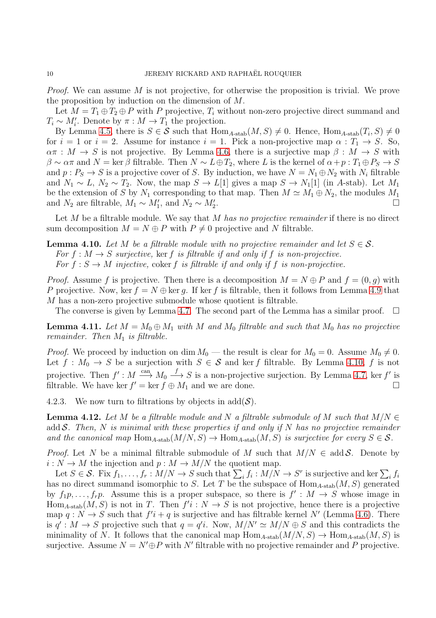Proof. We can assume M is not projective, for otherwise the proposition is trivial. We prove the proposition by induction on the dimension of M.

Let  $M = T_1 \oplus T_2 \oplus P$  with P projective,  $T_i$  without non-zero projective direct summand and  $T_i \sim M'_i$ . Denote by  $\pi : M \to T_1$  the projection.

By Lemma [4.5,](#page-8-1) there is  $S \in \mathcal{S}$  such that  $\text{Hom}_{A\text{-stab}}(M, S) \neq 0$ . Hence,  $\text{Hom}_{A\text{-stab}}(T_i, S) \neq 0$ for  $i = 1$  or  $i = 2$ . Assume for instance  $i = 1$ . Pick a non-projective map  $\alpha : T_1 \to S$ . So,  $\alpha \pi : M \to S$  is not projective. By Lemma [4.6,](#page-8-0) there is a surjective map  $\beta : M \to S$  with  $\beta \sim \alpha \pi$  and  $N = \ker \beta$  filtrable. Then  $N \sim L \oplus T_2$ , where L is the kernel of  $\alpha + p : T_1 \oplus P_S \to S$ and  $p: P_S \to S$  is a projective cover of S. By induction, we have  $N = N_1 \oplus N_2$  with  $N_i$  filtrable and  $N_1 \sim L$ ,  $N_2 \sim T_2$ . Now, the map  $S \to L[1]$  gives a map  $S \to N_1[1]$  (in A-stab). Let  $M_1$ be the extension of S by  $N_1$  corresponding to that map. Then  $M \simeq M_1 \oplus N_2$ , the modules  $M_1$ and  $N_2$  are filtrable,  $M_1 \sim M'_1$ , and  $N_2 \sim M'_2$ .

Let M be a filtrable module. We say that M has no projective remainder if there is no direct sum decomposition  $M = N \oplus P$  with  $P \neq 0$  projective and N filtrable.

<span id="page-9-0"></span>**Lemma 4.10.** Let M be a filtrable module with no projective remainder and let  $S \in \mathcal{S}$ . For  $f : M \to S$  surjective, ker f is filtrable if and only if f is non-projective. For  $f : S \to M$  injective, coker f is filtrable if and only if f is non-projective.

*Proof.* Assume f is projective. Then there is a decomposition  $M = N \oplus P$  and  $f = (0, g)$  with P projective. Now, ker  $f = N \oplus \ker q$ . If ker f is filtrable, then it follows from Lemma [4.9](#page-8-2) that M has a non-zero projective submodule whose quotient is filtrable.

The converse is given by Lemma [4.7.](#page-8-3) The second part of the Lemma has a similar proof.

<span id="page-9-1"></span>**Lemma 4.11.** Let  $M = M_0 \oplus M_1$  with M and  $M_0$  filtrable and such that  $M_0$  has no projective remainder. Then  $M_1$  is filtrable.

*Proof.* We proceed by induction on dim  $M_0$  — the result is clear for  $M_0 = 0$ . Assume  $M_0 \neq 0$ . Let  $f: M_0 \to S$  be a surjection with  $S \in \mathcal{S}$  and ker f filtrable. By Lemma [4.10,](#page-9-0) f is not projective. Then  $f': M \stackrel{\text{can}}{\longrightarrow} M_0 \stackrel{f}{\longrightarrow} S$  is a non-projective surjection. By Lemma [4.7,](#page-8-3) ker f' is filtrable. We have ker  $f' = \ker f \oplus M_1$  and we are done.

4.2.3. We now turn to filtrations by objects in  $add(\mathcal{S})$ .

<span id="page-9-2"></span>**Lemma 4.12.** Let M be a filtrable module and N a filtrable submodule of M such that  $M/N \in$ add S. Then, N is minimal with these properties if and only if N has no projective remainder and the canonical map Hom<sub>A-stab</sub> $(M/N, S) \rightarrow$  Hom<sub>A-stab</sub> $(M, S)$  is surjective for every  $S \in \mathcal{S}$ .

*Proof.* Let N be a minimal filtrable submodule of M such that  $M/N \in \text{add}\,\mathcal{S}$ . Denote by  $i: N \to M$  the injection and  $p: M \to M/N$  the quotient map.

Let  $S \in \mathcal{S}$ . Fix  $f_1, \ldots, f_r : M/N \to S$  such that  $\sum_i f_i : M/N \to S^r$  is surjective and ker  $\sum_i f_i$ has no direct summand isomorphic to S. Let T be the subspace of  $\text{Hom}_{A\text{-stab}}(M, S)$  generated by  $f_1p, \ldots, f_rp$ . Assume this is a proper subspace, so there is  $f' : M \to S$  whose image in  $Hom_{A\text{-stab}}(M, S)$  is not in T. Then  $f'i : N \to S$  is not projective, hence there is a projective map  $q: N \to S$  such that  $f'i + q$  is surjective and has filtrable kernel N' (Lemma [4.6\)](#page-8-0). There is  $q' : M \to S$  projective such that  $q = q'i$ . Now,  $M/N' \simeq M/N \oplus S$  and this contradicts the minimality of N. It follows that the canonical map  $\text{Hom}_{A\text{-stab}}(M/N, S) \to \text{Hom}_{A\text{-stab}}(M, S)$  is surjective. Assume  $N = N' \oplus P$  with N' filtrable with no projective remainder and P projective.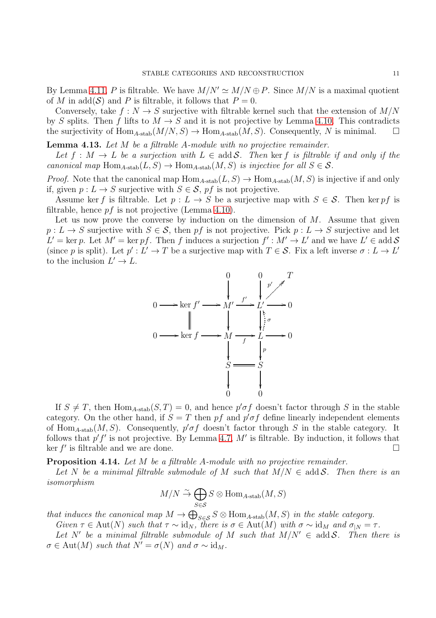By Lemma [4.11,](#page-9-1) P is filtrable. We have  $M/N' \simeq M/N \oplus P$ . Since  $M/N$  is a maximal quotient of M in add(S) and P is filtrable, it follows that  $P=0$ .

Conversely, take  $f: N \to S$  surjective with filtrable kernel such that the extension of  $M/N$ by S splits. Then f lifts to  $M \to S$  and it is not projective by Lemma [4.10.](#page-9-0) This contradicts the surjectivity of  $\text{Hom}_{A\text{-stab}}(M/N, S) \to \text{Hom}_{A\text{-stab}}(M, S)$ . Consequently, N is minimal.

<span id="page-10-0"></span>**Lemma 4.13.** Let  $M$  be a filtrable  $A$ -module with no projective remainder.

Let  $f : M \to L$  be a surjection with  $L \in \text{add } \mathcal{S}$ . Then ker f is filtrable if and only if the canonical map Hom<sub>A-stab</sub> $(L, S) \rightarrow$  Hom<sub>A-stab</sub> $(M, S)$  is injective for all  $S \in \mathcal{S}$ .

*Proof.* Note that the canonical map  $\text{Hom}_{A\text{-stab}}(L, S) \to \text{Hom}_{A\text{-stab}}(M, S)$  is injective if and only if, given  $p: L \to S$  surjective with  $S \in \mathcal{S}$ , pf is not projective.

Assume ker f is filtrable. Let  $p: L \to S$  be a surjective map with  $S \in \mathcal{S}$ . Then ker pf is filtrable, hence  $pf$  is not projective (Lemma [4.10\)](#page-9-0).

Let us now prove the converse by induction on the dimension of  $M$ . Assume that given  $p: L \to S$  surjective with  $S \in \mathcal{S}$ , then pf is not projective. Pick  $p: L \to S$  surjective and let  $L' = \text{ker } p$ . Let  $M' = \text{ker } pf$ . Then f induces a surjection  $f' : M' \to L'$  and we have  $L' \in \text{add } \mathcal{S}$ (since p is split). Let  $p': L' \to T$  be a surjective map with  $T \in \mathcal{S}$ . Fix a left inverse  $\sigma: L \to L'$ to the inclusion  $L' \to L$ .



If  $S \neq T$ , then Hom<sub>A-stab</sub> $(S,T) = 0$ , and hence  $p' \sigma f$  doesn't factor through S in the stable category. On the other hand, if  $S = T$  then pf and  $p' \sigma f$  define linearly independent elements of Hom<sub>A-stab</sub> $(M, S)$ . Consequently,  $p' \sigma f$  doesn't factor through S in the stable category. It follows that  $p'f'$  is not projective. By Lemma [4.7,](#page-8-3) M' is filtrable. By induction, it follows that  $\ker f'$  is filtrable and we are done.

<span id="page-10-1"></span>**Proposition 4.14.** Let M be a filtrable A-module with no projective remainder.

Let N be a minimal filtrable submodule of M such that  $M/N \in \text{add } \mathcal{S}$ . Then there is an isomorphism

$$
M/N \xrightarrow{\sim} \bigoplus_{S \in \mathcal{S}} S \otimes \text{Hom}_{A\text{-stab}}(M, S)
$$

that induces the canonical map  $M \to \bigoplus_{S \in \mathcal{S}} S \otimes \text{Hom}_{A\text{-stab}}(M, S)$  in the stable category.

Given  $\tau \in \text{Aut}(N)$  such that  $\tau \sim id_N$ , there is  $\sigma \in \text{Aut}(M)$  with  $\sigma \sim id_M$  and  $\sigma_{|N} = \tau$ .

Let N' be a minimal filtrable submodule of M such that  $M/N' \in \text{add } S$ . Then there is  $\sigma \in \text{Aut}(M)$  such that  $N' = \sigma(N)$  and  $\sigma \sim \text{id}_M$ .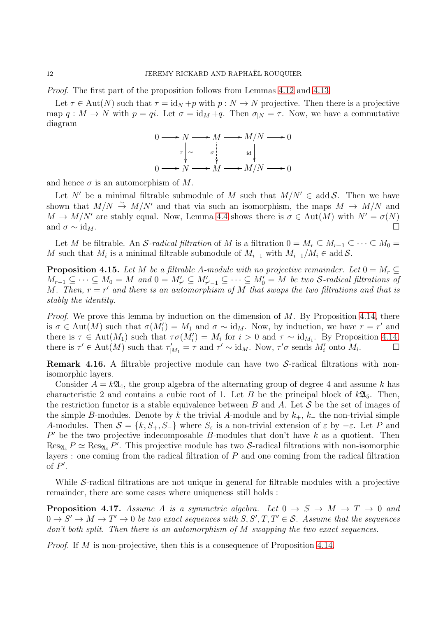Proof. The first part of the proposition follows from Lemmas [4.12](#page-9-2) and [4.13.](#page-10-0)

Let  $\tau \in \text{Aut}(N)$  such that  $\tau = \text{id}_N + p$  with  $p : N \to N$  projective. Then there is a projective map  $q: M \to N$  with  $p = qi$ . Let  $\sigma = id_M + q$ . Then  $\sigma_{|N} = \tau$ . Now, we have a commutative diagram



and hence  $\sigma$  is an automorphism of  $M$ .

Let N' be a minimal filtrable submodule of M such that  $M/N' \in \text{add } \mathcal{S}$ . Then we have shown that  $M/N \stackrel{\sim}{\rightarrow} M/N'$  and that via such an isomorphism, the maps  $M \rightarrow M/N$  and  $M \to M/N'$  are stably equal. Now, Lemma [4.4](#page-7-0) shows there is  $\sigma \in \text{Aut}(M)$  with  $N' = \sigma(N)$ and  $\sigma \sim id_M$ .

Let M be filtrable. An S-radical filtration of M is a filtration  $0 = M_r \subseteq M_{r-1} \subseteq \cdots \subseteq M_0 =$ M such that  $M_i$  is a minimal filtrable submodule of  $M_{i-1}$  with  $M_{i-1}/M_i \in \text{add } \mathcal{S}$ .

<span id="page-11-0"></span>**Proposition 4.15.** Let M be a filtrable A-module with no projective remainder. Let  $0 = M_r \subset$  $M_{r-1} \subseteq \cdots \subseteq M_0 = M$  and  $0 = M'_{r'} \subseteq M'_{r'-1} \subseteq \cdots \subseteq M'_0 = M$  be two S-radical filtrations of M. Then,  $r = r'$  and there is an automorphism of M that swaps the two filtrations and that is stably the identity.

*Proof.* We prove this lemma by induction on the dimension of  $M$ . By Proposition [4.14,](#page-10-1) there is  $\sigma \in \text{Aut}(M)$  such that  $\sigma(M'_1) = M_1$  and  $\sigma \sim \text{id}_M$ . Now, by induction, we have  $r = r'$  and there is  $\tau \in \text{Aut}(M_1)$  such that  $\tau \sigma(M'_i) = M_i$  for  $i > 0$  and  $\tau \sim \text{id}_{M_1}$ . By Proposition [4.14,](#page-10-1) there is  $\tau' \in \text{Aut}(M)$  such that  $\tau'_{|M_1} = \tau$  and  $\tau' \sim \text{id}_M$ . Now,  $\tau' \sigma$  sends  $M'_i$  onto  $M_i$ . — П

**Remark 4.16.** A filtrable projective module can have two  $S$ -radical filtrations with nonisomorphic layers.

Consider  $A = k\mathfrak{A}_4$ , the group algebra of the alternating group of degree 4 and assume k has characteristic 2 and contains a cubic root of 1. Let B be the principal block of  $k\mathfrak{A}_5$ . Then, the restriction functor is a stable equivalence between B and A. Let  $\mathcal S$  be the set of images of the simple B-modules. Denote by k the trivial A-module and by  $k_{+}$ ,  $k_{-}$  the non-trivial simple A-modules. Then  $S = \{k, S_+, S_-\}$  where  $S_\varepsilon$  is a non-trivial extension of  $\varepsilon$  by  $-\varepsilon$ . Let P and  $P'$  be the two projective indecomposable B-modules that don't have k as a quotient. Then  $\text{Res}_{\mathfrak{A}_4} P \simeq \text{Res}_{\mathfrak{A}_4} P'$ . This projective module has two S-radical filtrations with non-isomorphic layers : one coming from the radical filtration of  $P$  and one coming from the radical filtration of  $P'$ .

While S-radical filtrations are not unique in general for filtrable modules with a projective remainder, there are some cases where uniqueness still holds :

**Proposition 4.17.** Assume A is a symmetric algebra. Let  $0 \rightarrow S \rightarrow M \rightarrow T \rightarrow 0$  and  $0 \to S' \to M \to T' \to 0$  be two exact sequences with  $S, S', T, T' \in S$ . Assume that the sequences don't both split. Then there is an automorphism of M swapping the two exact sequences.

*Proof.* If M is non-projective, then this is a consequence of Proposition [4.14.](#page-10-1)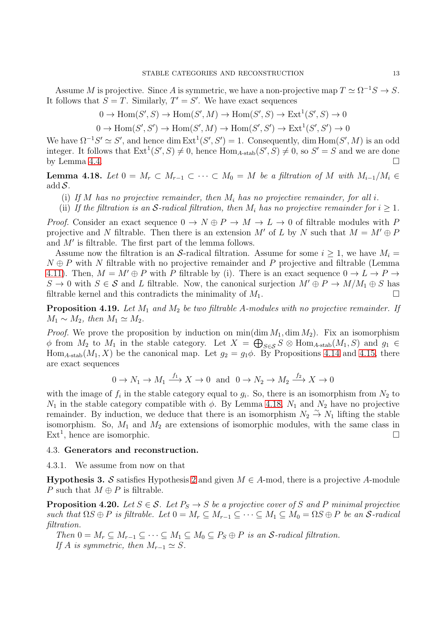Assume M is projective. Since A is symmetric, we have a non-projective map  $T \simeq \Omega^{-1} S \to S$ . It follows that  $S = T$ . Similarly,  $T' = S'$ . We have exact sequences

$$
0 \to \text{Hom}(S', S) \to \text{Hom}(S', M) \to \text{Hom}(S', S) \to \text{Ext}^1(S', S) \to 0
$$

 $0 \to \text{Hom}(S', S') \to \text{Hom}(S', M) \to \text{Hom}(S', S') \to \text{Ext}^1(S', S') \to 0$ 

We have  $\Omega^{-1}S' \simeq S'$ , and hence dim  $\mathrm{Ext}^1(S',S') = 1$ . Consequently, dim Hom $(S',M)$  is an odd integer. It follows that  $Ext^1(S', S) \neq 0$ , hence  $Hom_{A-stab}(S', S) \neq 0$ , so  $S' = S$  and we are done by Lemma [4.4.](#page-7-0)  $\Box$ 

<span id="page-12-0"></span>**Lemma 4.18.** Let  $0 = M_r \subset M_{r-1} \subset \cdots \subset M_0 = M$  be a filtration of M with  $M_{i-1}/M_i \in$ add  $S$ .

- (i) If M has no projective remainder, then  $M_i$  has no projective remainder, for all i.
- (ii) If the filtration is an S-radical filtration, then  $M_i$  has no projective remainder for  $i \geq 1$ .

*Proof.* Consider an exact sequence  $0 \to N \oplus P \to M \to L \to 0$  of filtrable modules with P projective and N filtrable. Then there is an extension M' of L by N such that  $M = M' \oplus P$ and M′ is filtrable. The first part of the lemma follows.

Assume now the filtration is an S-radical filtration. Assume for some  $i > 1$ , we have  $M_i =$  $N \oplus P$  with N filtrable with no projective remainder and P projective and filtrable (Lemma [4.11\)](#page-9-1). Then,  $M = M' \oplus P$  with P filtrable by (i). There is an exact sequence  $0 \to L \to P \to$  $S \to 0$  with  $S \in \mathcal{S}$  and L filtrable. Now, the canonical surjection  $M' \oplus P \to M/M_1 \oplus S$  has filtrable kernel and this contradicts the minimality of  $M_1$ .

**Proposition 4.19.** Let  $M_1$  and  $M_2$  be two filtrable A-modules with no projective remainder. If  $M_1 \sim M_2$ , then  $M_1 \simeq M_2$ .

*Proof.* We prove the proposition by induction on  $\min(\dim M_1, \dim M_2)$ . Fix an isomorphism  $\phi$  from  $M_2$  to  $M_1$  in the stable category. Let  $X = \bigoplus_{S \in \mathcal{S}} S \otimes \text{Hom}_{A\text{-stab}}(M_1, S)$  and  $g_1 \in$ Hom<sub>A-stab</sub> $(M_1, X)$  be the canonical map. Let  $g_2 = g_1 \phi$ . By Propositions [4.14](#page-10-1) and [4.15,](#page-11-0) there are exact sequences

$$
0 \to N_1 \to M_1 \xrightarrow{f_1} X \to 0 \text{ and } 0 \to N_2 \to M_2 \xrightarrow{f_2} X \to 0
$$

with the image of  $f_i$  in the stable category equal to  $g_i$ . So, there is an isomorphism from  $N_2$  to  $N_1$  in the stable category compatible with  $\phi$ . By Lemma [4.18,](#page-12-0)  $N_1$  and  $N_2$  have no projective remainder. By induction, we deduce that there is an isomorphism  $N_2 \stackrel{\sim}{\rightarrow} N_1$  lifting the stable isomorphism. So,  $M_1$  and  $M_2$  are extensions of isomorphic modules, with the same class in  $\text{Ext}^1$ , hence are isomorphic.

### 4.3. Generators and reconstruction.

4.3.1. We assume from now on that

<span id="page-12-1"></span>**Hypothesis 3.** S satisfies Hypothesis [2](#page-8-4) and given  $M \in A$ -mod, there is a projective A-module P such that  $M \oplus P$  is filtrable.

**Proposition 4.20.** Let  $S \in \mathcal{S}$ . Let  $P_S \to S$  be a projective cover of S and P minimal projective such that  $\Omega S \oplus P$  is filtrable. Let  $0 = M_r \subseteq M_{r-1} \subseteq \cdots \subseteq M_1 \subseteq M_0 = \Omega S \oplus P$  be an S-radical filtration.

Then  $0 = M_r \subseteq M_{r-1} \subseteq \cdots \subseteq M_1 \subseteq M_0 \subseteq P_S \oplus P$  is an S-radical filtration. If A is symmetric, then  $M_{r-1} \simeq S$ .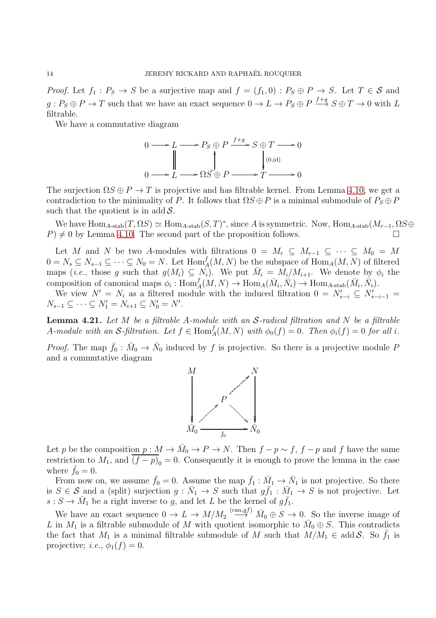*Proof.* Let  $f_1: P_S \to S$  be a surjective map and  $f = (f_1, 0) : P_S \oplus P \to S$ . Let  $T \in S$  and  $g: P_S \oplus P \to T$  such that we have an exact sequence  $0 \to L \to P_S \oplus P \stackrel{f+g}{\longrightarrow} S \oplus T \to 0$  with L filtrable.

We have a commutative diagram



The surjection  $\Omega S \oplus P \to T$  is projective and has filtrable kernel. From Lemma [4.10,](#page-9-0) we get a contradiction to the minimality of P. It follows that  $\Omega S \oplus P$  is a minimal submodule of  $P_S \oplus P$ such that the quotient is in add  $S$ .

We have  $\text{Hom}_{A\text{-stab}}(T, \Omega S) \simeq \text{Hom}_{A\text{-stab}}(S, T)^*$ , since A is symmetric. Now,  $\text{Hom}_{A\text{-stab}}(M_{r-1}, \Omega S \oplus T)$  $P$   $\neq$  0 by Lemma [4.10.](#page-9-0) The second part of the proposition follows.

Let M and N be two A-modules with filtrations  $0 = M_r \subseteq M_{r-1} \subseteq \cdots \subseteq M_0 = M$  $0 = N_s \subseteq N_{s-1} \subseteq \cdots \subseteq N_0 = N$ . Let  $\text{Hom}_A^f(M, N)$  be the subspace of  $\text{Hom}_A(M, N)$  of filtered maps (*i.e.*, those g such that  $g(M_i) \subseteq N_i$ ). We put  $\overline{M}_i = M_i/M_{i+1}$ . We denote by  $\phi_i$  the composition of canonical maps  $\phi_i: \text{Hom}_A^f(M, N) \to \text{Hom}_A(\bar{M}_i, \bar{N}_i) \to \text{Hom}_{A\text{-stab}}(\bar{M}_i, \bar{N}_i)$ .

We view  $N' = N_i$  as a filtered module with the induced filtration  $0 = N'_{s-i} \subseteq N'_{s-i-1}$  $N_{s-1} \subseteq \cdots \subseteq N'_1 = N_{i+1} \subseteq N'_0 = N'.$ 

<span id="page-13-0"></span>**Lemma 4.21.** Let M be a filtrable A-module with an  $S$ -radical filtration and N be a filtrable A-module with an S-filtration. Let  $f \in \text{Hom}_A^f(M, N)$  with  $\phi_0(f) = 0$ . Then  $\phi_i(f) = 0$  for all i.

*Proof.* The map  $\bar{f}_0 : \bar{M}_0 \to \bar{N}_0$  induced by f is projective. So there is a projective module P and a commutative diagram



Let p be the composition  $p: M \to \bar{M}_0 \to P \to N$ . Then  $f - p \sim f$ ,  $f - p$  and f have the same restriction to  $M_1$ , and  $(f - p)_0 = 0$ . Consequently it is enough to prove the lemma in the case where  $\bar{f}_0 = 0$ .

From now on, we assume  $\bar{f}_0 = 0$ . Assume the map  $\bar{f}_1 : \bar{M}_1 \to \bar{N}_1$  is not projective. So there is  $S \in \mathcal{S}$  and a (split) surjection  $g: \bar{N}_1 \to S$  such that  $g\bar{f}_1: \bar{M}_1 \to S$  is not projective. Let  $s: S \to \overline{M}_1$  be a right inverse to g, and let L be the kernel of  $g\overline{f}_1$ .

We have an exact sequence  $0 \to L \to M/M_2 \stackrel{(can, gf)}{\longrightarrow} \bar{M}_0 \oplus S \to 0$ . So the inverse image of L in  $M_1$  is a filtrable submodule of M with quotient isomorphic to  $\bar{M}_0 \oplus S$ . This contradicts the fact that  $M_1$  is a minimal filtrable submodule of M such that  $M/M_1 \in \text{add } \mathcal{S}$ . So  $\bar{f}_1$  is projective; *i.e.*,  $\phi_1(f) = 0$ .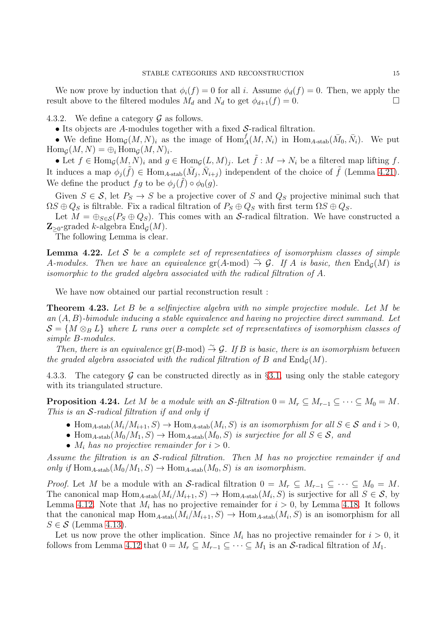We now prove by induction that  $\phi_i(f) = 0$  for all i. Assume  $\phi_d(f) = 0$ . Then, we apply the result above to the filtered modules  $M_d$  and  $N_d$  to get  $\phi_{d+1}(f) = 0$ .

4.3.2. We define a category  $\mathcal G$  as follows.

• Its objects are A-modules together with a fixed S-radical filtration.

• We define  $\text{Hom}_G(M, N)_i$  as the image of  $\text{Hom}_A^f(M, N_i)$  in  $\text{Hom}_{A\text{-stab}}(\bar{M}_0, \bar{N}_i)$ . We put  $\operatorname{Hom}_{\mathcal{G}}(M,N) = \bigoplus_i \operatorname{Hom}_{\mathcal{G}}(M,N)_i.$ 

• Let  $f \in \text{Hom}_{\mathcal{G}}(M, N)_i$  and  $g \in \text{Hom}_{\mathcal{G}}(L, M)_j$ . Let  $\tilde{f} : M \to N_i$  be a filtered map lifting f. It induces a map  $\phi_j(\tilde{f}) \in \text{Hom}_{A\text{-stab}}(\bar{M}_j, \bar{N}_{i+j})$  independent of the choice of  $\tilde{f}$  (Lemma [4.21\)](#page-13-0). We define the product  $fg$  to be  $\phi_j(\tilde{f}) \circ \phi_0(g)$ .

Given  $S \in \mathcal{S}$ , let  $P_S \to S$  be a projective cover of S and  $Q_S$  projective minimal such that  $\Omega S \oplus Q_S$  is filtrable. Fix a radical filtration of  $P_S \oplus Q_S$  with first term  $\Omega S \oplus Q_S$ .

Let  $M = \bigoplus_{S \in \mathcal{S}} (P_S \oplus Q_S)$ . This comes with an S-radical filtration. We have constructed a  $\mathbb{Z}_{\geq 0}$ -graded k-algebra  $\text{End}_{\mathcal{G}}(M)$ .

The following Lemma is clear.

**Lemma 4.22.** Let S be a complete set of representatives of isomorphism classes of simple A-modules. Then we have an equivalence gr(A-mod)  $\stackrel{\sim}{\to} \mathcal{G}$ . If A is basic, then  $\text{End}_{\mathcal{G}}(M)$  is isomorphic to the graded algebra associated with the radical filtration of A.

We have now obtained our partial reconstruction result :

**Theorem 4.23.** Let B be a selfinjective algebra with no simple projective module. Let M be an  $(A, B)$ -bimodule inducing a stable equivalence and having no projective direct summand. Let  $S = \{M \otimes_B L\}$  where L runs over a complete set of representatives of isomorphism classes of simple B-modules.

Then, there is an equivalence gr(B-mod)  $\stackrel{\sim}{\to} \mathcal{G}$ . If B is basic, there is an isomorphism between the graded algebra associated with the radical filtration of B and  $\text{End}_{\mathcal{G}}(M)$ .

4.3.3. The category G can be constructed directly as in §[3.1,](#page-0-0) using only the stable category with its triangulated structure.

<span id="page-14-0"></span>**Proposition 4.24.** Let M be a module with an S-filtration  $0 = M_r \subseteq M_{r-1} \subseteq \cdots \subseteq M_0 = M$ . This is an S-radical filtration if and only if

- Hom<sub>A-stab</sub> $(M_i/M_{i+1}, S) \to \text{Hom}_{A\text{-stab}}(M_i, S)$  is an isomorphism for all  $S \in \mathcal{S}$  and  $i > 0$ ,
- Hom<sub>A-stab</sub> $(M_0/M_1, S) \to$  Hom<sub>A-stab</sub> $(M_0, S)$  is surjective for all  $S \in \mathcal{S}$ , and
- $M_i$  has no projective remainder for  $i > 0$ .

Assume the filtration is an S-radical filtration. Then M has no projective remainder if and only if  $\text{Hom}_{A\text{-stab}}(M_0/M_1, S) \to \text{Hom}_{A\text{-stab}}(M_0, S)$  is an isomorphism.

*Proof.* Let M be a module with an S-radical filtration  $0 = M_r \subseteq M_{r-1} \subseteq \cdots \subseteq M_0 = M$ . The canonical map  $\text{Hom}_{A\text{-stab}}(M_i/M_{i+1}, S) \to \text{Hom}_{A\text{-stab}}(M_i, S)$  is surjective for all  $S \in \mathcal{S}$ , by Lemma [4.12.](#page-9-2) Note that  $M_i$  has no projective remainder for  $i > 0$ , by Lemma [4.18.](#page-12-0) It follows that the canonical map  $\text{Hom}_{A\text{-stab}}(M_i/M_{i+1}, S) \to \text{Hom}_{A\text{-stab}}(M_i, S)$  is an isomorphism for all  $S \in \mathcal{S}$  (Lemma [4.13\)](#page-10-0).

Let us now prove the other implication. Since  $M_i$  has no projective remainder for  $i > 0$ , it follows from Lemma [4.12](#page-9-2) that  $0 = M_r \subseteq M_{r-1} \subseteq \cdots \subseteq M_1$  is an S-radical filtration of  $M_1$ .